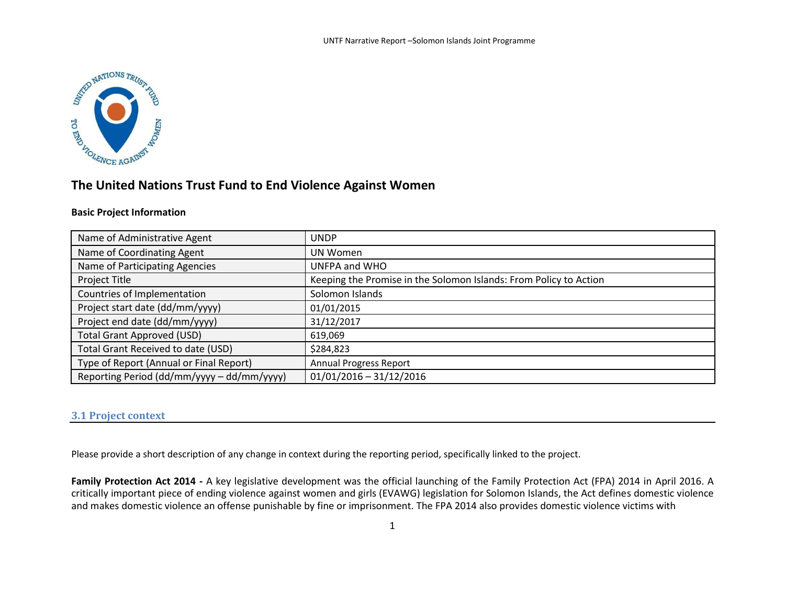

#### **Basic Project Information**

| Name of Administrative Agent               | <b>UNDP</b>                                                       |
|--------------------------------------------|-------------------------------------------------------------------|
| Name of Coordinating Agent                 | UN Women                                                          |
| Name of Participating Agencies             | UNFPA and WHO                                                     |
| Project Title                              | Keeping the Promise in the Solomon Islands: From Policy to Action |
| Countries of Implementation                | Solomon Islands                                                   |
| Project start date (dd/mm/yyyy)            | 01/01/2015                                                        |
| Project end date (dd/mm/yyyy)              | 31/12/2017                                                        |
| <b>Total Grant Approved (USD)</b>          | 619,069                                                           |
| Total Grant Received to date (USD)         | \$284,823                                                         |
| Type of Report (Annual or Final Report)    | <b>Annual Progress Report</b>                                     |
| Reporting Period (dd/mm/yyyy - dd/mm/yyyy) | $01/01/2016 - 31/12/2016$                                         |

## **3.1 Project context**

Please provide a short description of any change in context during the reporting period, specifically linked to the project.

**Family Protection Act 2014 -** A key legislative development was the official launching of the Family Protection Act (FPA) 2014 in April 2016. A critically important piece of ending violence against women and girls (EVAWG) legislation for Solomon Islands, the Act defines domestic violence and makes domestic violence an offense punishable by fine or imprisonment. The FPA 2014 also provides domestic violence victims with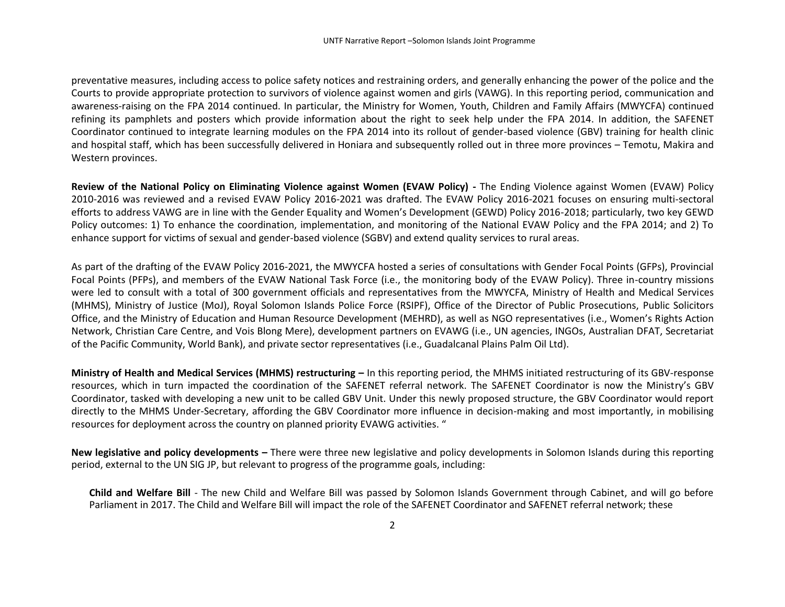preventative measures, including access to police safety notices and restraining orders, and generally enhancing the power of the police and the Courts to provide appropriate protection to survivors of violence against women and girls (VAWG). In this reporting period, communication and awareness-raising on the FPA 2014 continued. In particular, the Ministry for Women, Youth, Children and Family Affairs (MWYCFA) continued refining its pamphlets and posters which provide information about the right to seek help under the FPA 2014. In addition, the SAFENET Coordinator continued to integrate learning modules on the FPA 2014 into its rollout of gender-based violence (GBV) training for health clinic and hospital staff, which has been successfully delivered in Honiara and subsequently rolled out in three more provinces – Temotu, Makira and Western provinces.

**Review of the National Policy on Eliminating Violence against Women (EVAW Policy) -** The Ending Violence against Women (EVAW) Policy 2010-2016 was reviewed and a revised EVAW Policy 2016-2021 was drafted. The EVAW Policy 2016-2021 focuses on ensuring multi-sectoral efforts to address VAWG are in line with the Gender Equality and Women's Development (GEWD) Policy 2016-2018; particularly, two key GEWD Policy outcomes: 1) To enhance the coordination, implementation, and monitoring of the National EVAW Policy and the FPA 2014; and 2) To enhance support for victims of sexual and gender-based violence (SGBV) and extend quality services to rural areas.

As part of the drafting of the EVAW Policy 2016-2021, the MWYCFA hosted a series of consultations with Gender Focal Points (GFPs), Provincial Focal Points (PFPs), and members of the EVAW National Task Force (i.e., the monitoring body of the EVAW Policy). Three in-country missions were led to consult with a total of 300 government officials and representatives from the MWYCFA, Ministry of Health and Medical Services (MHMS), Ministry of Justice (MoJ), Royal Solomon Islands Police Force (RSIPF), Office of the Director of Public Prosecutions, Public Solicitors Office, and the Ministry of Education and Human Resource Development (MEHRD), as well as NGO representatives (i.e., Women's Rights Action Network, Christian Care Centre, and Vois Blong Mere), development partners on EVAWG (i.e., UN agencies, INGOs, Australian DFAT, Secretariat of the Pacific Community, World Bank), and private sector representatives (i.e., Guadalcanal Plains Palm Oil Ltd).

**Ministry of Health and Medical Services (MHMS) restructuring –** In this reporting period, the MHMS initiated restructuring of its GBV-response resources, which in turn impacted the coordination of the SAFENET referral network. The SAFENET Coordinator is now the Ministry's GBV Coordinator, tasked with developing a new unit to be called GBV Unit. Under this newly proposed structure, the GBV Coordinator would report directly to the MHMS Under-Secretary, affording the GBV Coordinator more influence in decision-making and most importantly, in mobilising resources for deployment across the country on planned priority EVAWG activities. "

**New legislative and policy developments –** There were three new legislative and policy developments in Solomon Islands during this reporting period, external to the UN SIG JP, but relevant to progress of the programme goals, including:

**Child and Welfare Bill** - The new Child and Welfare Bill was passed by Solomon Islands Government through Cabinet, and will go before Parliament in 2017. The Child and Welfare Bill will impact the role of the SAFENET Coordinator and SAFENET referral network; these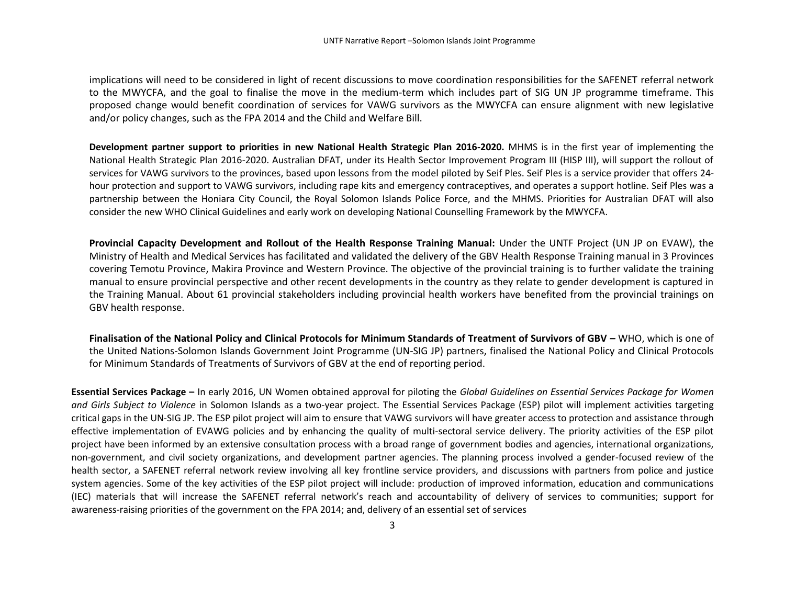implications will need to be considered in light of recent discussions to move coordination responsibilities for the SAFENET referral network to the MWYCFA, and the goal to finalise the move in the medium-term which includes part of SIG UN JP programme timeframe. This proposed change would benefit coordination of services for VAWG survivors as the MWYCFA can ensure alignment with new legislative and/or policy changes, such as the FPA 2014 and the Child and Welfare Bill.

**Development partner support to priorities in new National Health Strategic Plan 2016-2020.** MHMS is in the first year of implementing the National Health Strategic Plan 2016-2020. Australian DFAT, under its Health Sector Improvement Program III (HISP III), will support the rollout of services for VAWG survivors to the provinces, based upon lessons from the model piloted by Seif Ples. Seif Ples is a service provider that offers 24 hour protection and support to VAWG survivors, including rape kits and emergency contraceptives, and operates a support hotline. Seif Ples was a partnership between the Honiara City Council, the Royal Solomon Islands Police Force, and the MHMS. Priorities for Australian DFAT will also consider the new WHO Clinical Guidelines and early work on developing National Counselling Framework by the MWYCFA.

**Provincial Capacity Development and Rollout of the Health Response Training Manual:** Under the UNTF Project (UN JP on EVAW), the Ministry of Health and Medical Services has facilitated and validated the delivery of the GBV Health Response Training manual in 3 Provinces covering Temotu Province, Makira Province and Western Province. The objective of the provincial training is to further validate the training manual to ensure provincial perspective and other recent developments in the country as they relate to gender development is captured in the Training Manual. About 61 provincial stakeholders including provincial health workers have benefited from the provincial trainings on GBV health response.

**Finalisation of the National Policy and Clinical Protocols for Minimum Standards of Treatment of Survivors of GBV – WHO, which is one of** the United Nations-Solomon Islands Government Joint Programme (UN-SIG JP) partners, finalised the National Policy and Clinical Protocols for Minimum Standards of Treatments of Survivors of GBV at the end of reporting period.

**Essential Services Package –** In early 2016, UN Women obtained approval for piloting the *Global Guidelines on Essential Services Package for Women and Girls Subject to Violence* in Solomon Islands as a two-year project. The Essential Services Package (ESP) pilot will implement activities targeting critical gaps in the UN-SIG JP. The ESP pilot project will aim to ensure that VAWG survivors will have greater access to protection and assistance through effective implementation of EVAWG policies and by enhancing the quality of multi-sectoral service delivery. The priority activities of the ESP pilot project have been informed by an extensive consultation process with a broad range of government bodies and agencies, international organizations, non-government, and civil society organizations, and development partner agencies. The planning process involved a gender-focused review of the health sector, a SAFENET referral network review involving all key frontline service providers, and discussions with partners from police and justice system agencies. Some of the key activities of the ESP pilot project will include: production of improved information, education and communications (IEC) materials that will increase the SAFENET referral network's reach and accountability of delivery of services to communities; support for awareness-raising priorities of the government on the FPA 2014; and, delivery of an essential set of services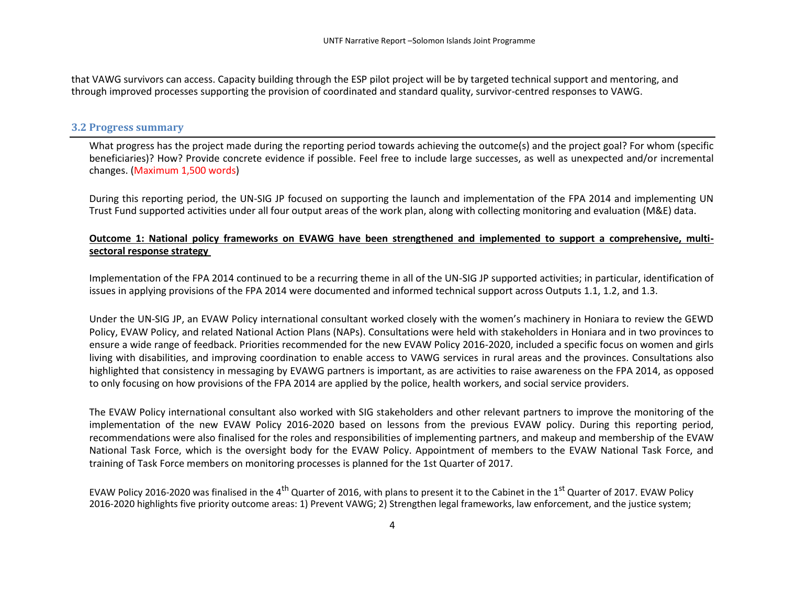that VAWG survivors can access. Capacity building through the ESP pilot project will be by targeted technical support and mentoring, and through improved processes supporting the provision of coordinated and standard quality, survivor-centred responses to VAWG.

#### **3.2 Progress summary**

What progress has the project made during the reporting period towards achieving the outcome(s) and the project goal? For whom (specific beneficiaries)? How? Provide concrete evidence if possible. Feel free to include large successes, as well as unexpected and/or incremental changes. (Maximum 1,500 words)

During this reporting period, the UN-SIG JP focused on supporting the launch and implementation of the FPA 2014 and implementing UN Trust Fund supported activities under all four output areas of the work plan, along with collecting monitoring and evaluation (M&E) data.

#### **Outcome 1: National policy frameworks on EVAWG have been strengthened and implemented to support a comprehensive, multisectoral response strategy**

Implementation of the FPA 2014 continued to be a recurring theme in all of the UN-SIG JP supported activities; in particular, identification of issues in applying provisions of the FPA 2014 were documented and informed technical support across Outputs 1.1, 1.2, and 1.3.

Under the UN-SIG JP, an EVAW Policy international consultant worked closely with the women's machinery in Honiara to review the GEWD Policy, EVAW Policy, and related National Action Plans (NAPs). Consultations were held with stakeholders in Honiara and in two provinces to ensure a wide range of feedback. Priorities recommended for the new EVAW Policy 2016-2020, included a specific focus on women and girls living with disabilities, and improving coordination to enable access to VAWG services in rural areas and the provinces. Consultations also highlighted that consistency in messaging by EVAWG partners is important, as are activities to raise awareness on the FPA 2014, as opposed to only focusing on how provisions of the FPA 2014 are applied by the police, health workers, and social service providers.

The EVAW Policy international consultant also worked with SIG stakeholders and other relevant partners to improve the monitoring of the implementation of the new EVAW Policy 2016-2020 based on lessons from the previous EVAW policy. During this reporting period, recommendations were also finalised for the roles and responsibilities of implementing partners, and makeup and membership of the EVAW National Task Force, which is the oversight body for the EVAW Policy. Appointment of members to the EVAW National Task Force, and training of Task Force members on monitoring processes is planned for the 1st Quarter of 2017.

EVAW Policy 2016-2020 was finalised in the 4<sup>th</sup> Quarter of 2016, with plans to present it to the Cabinet in the 1<sup>st</sup> Quarter of 2017. EVAW Policy 2016-2020 highlights five priority outcome areas: 1) Prevent VAWG; 2) Strengthen legal frameworks, law enforcement, and the justice system;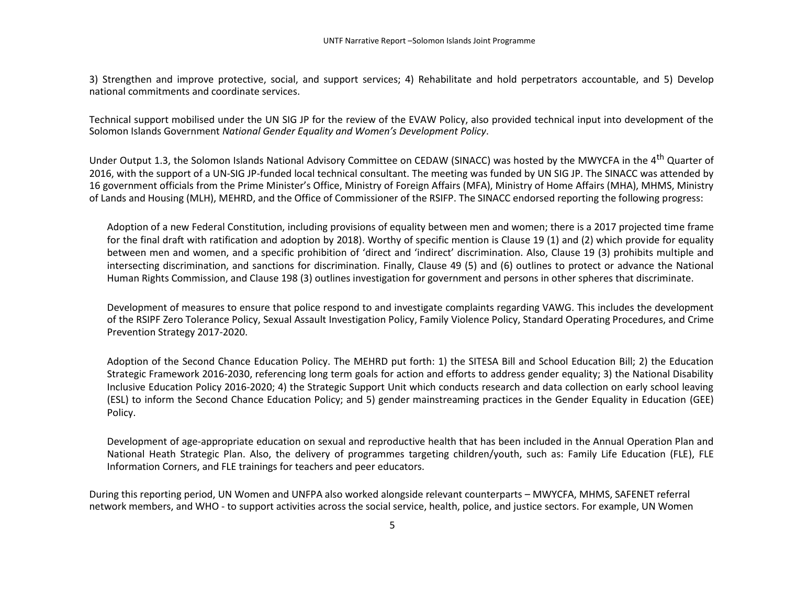3) Strengthen and improve protective, social, and support services; 4) Rehabilitate and hold perpetrators accountable, and 5) Develop national commitments and coordinate services.

Technical support mobilised under the UN SIG JP for the review of the EVAW Policy, also provided technical input into development of the Solomon Islands Government *National Gender Equality and Women's Development Policy*.

Under Output 1.3, the Solomon Islands National Advisory Committee on CEDAW (SINACC) was hosted by the MWYCFA in the 4<sup>th</sup> Quarter of 2016, with the support of a UN-SIG JP-funded local technical consultant. The meeting was funded by UN SIG JP. The SINACC was attended by 16 government officials from the Prime Minister's Office, Ministry of Foreign Affairs (MFA), Ministry of Home Affairs (MHA), MHMS, Ministry of Lands and Housing (MLH), MEHRD, and the Office of Commissioner of the RSIFP. The SINACC endorsed reporting the following progress:

Adoption of a new Federal Constitution, including provisions of equality between men and women; there is a 2017 projected time frame for the final draft with ratification and adoption by 2018). Worthy of specific mention is Clause 19 (1) and (2) which provide for equality between men and women, and a specific prohibition of 'direct and 'indirect' discrimination. Also, Clause 19 (3) prohibits multiple and intersecting discrimination, and sanctions for discrimination. Finally, Clause 49 (5) and (6) outlines to protect or advance the National Human Rights Commission, and Clause 198 (3) outlines investigation for government and persons in other spheres that discriminate.

Development of measures to ensure that police respond to and investigate complaints regarding VAWG. This includes the development of the RSIPF Zero Tolerance Policy, Sexual Assault Investigation Policy, Family Violence Policy, Standard Operating Procedures, and Crime Prevention Strategy 2017-2020.

Adoption of the Second Chance Education Policy. The MEHRD put forth: 1) the SITESA Bill and School Education Bill; 2) the Education Strategic Framework 2016-2030, referencing long term goals for action and efforts to address gender equality; 3) the National Disability Inclusive Education Policy 2016-2020; 4) the Strategic Support Unit which conducts research and data collection on early school leaving (ESL) to inform the Second Chance Education Policy; and 5) gender mainstreaming practices in the Gender Equality in Education (GEE) Policy.

Development of age-appropriate education on sexual and reproductive health that has been included in the Annual Operation Plan and National Heath Strategic Plan. Also, the delivery of programmes targeting children/youth, such as: Family Life Education (FLE), FLE Information Corners, and FLE trainings for teachers and peer educators.

During this reporting period, UN Women and UNFPA also worked alongside relevant counterparts – MWYCFA, MHMS, SAFENET referral network members, and WHO - to support activities across the social service, health, police, and justice sectors. For example, UN Women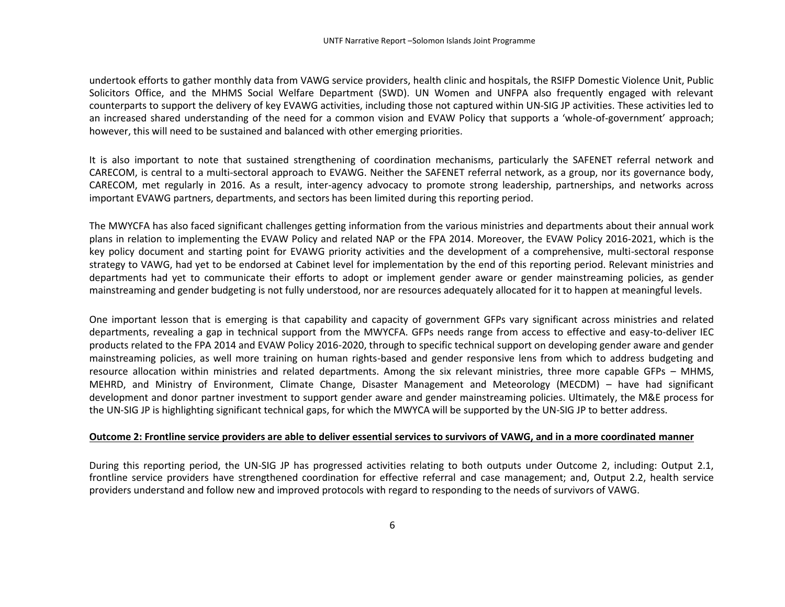undertook efforts to gather monthly data from VAWG service providers, health clinic and hospitals, the RSIFP Domestic Violence Unit, Public Solicitors Office, and the MHMS Social Welfare Department (SWD). UN Women and UNFPA also frequently engaged with relevant counterparts to support the delivery of key EVAWG activities, including those not captured within UN-SIG JP activities. These activities led to an increased shared understanding of the need for a common vision and EVAW Policy that supports a 'whole-of-government' approach; however, this will need to be sustained and balanced with other emerging priorities.

It is also important to note that sustained strengthening of coordination mechanisms, particularly the SAFENET referral network and CARECOM, is central to a multi-sectoral approach to EVAWG. Neither the SAFENET referral network, as a group, nor its governance body, CARECOM, met regularly in 2016. As a result, inter-agency advocacy to promote strong leadership, partnerships, and networks across important EVAWG partners, departments, and sectors has been limited during this reporting period.

The MWYCFA has also faced significant challenges getting information from the various ministries and departments about their annual work plans in relation to implementing the EVAW Policy and related NAP or the FPA 2014. Moreover, the EVAW Policy 2016-2021, which is the key policy document and starting point for EVAWG priority activities and the development of a comprehensive, multi-sectoral response strategy to VAWG, had yet to be endorsed at Cabinet level for implementation by the end of this reporting period. Relevant ministries and departments had yet to communicate their efforts to adopt or implement gender aware or gender mainstreaming policies, as gender mainstreaming and gender budgeting is not fully understood, nor are resources adequately allocated for it to happen at meaningful levels.

One important lesson that is emerging is that capability and capacity of government GFPs vary significant across ministries and related departments, revealing a gap in technical support from the MWYCFA. GFPs needs range from access to effective and easy-to-deliver IEC products related to the FPA 2014 and EVAW Policy 2016-2020, through to specific technical support on developing gender aware and gender mainstreaming policies, as well more training on human rights-based and gender responsive lens from which to address budgeting and resource allocation within ministries and related departments. Among the six relevant ministries, three more capable GFPs – MHMS, MEHRD, and Ministry of Environment, Climate Change, Disaster Management and Meteorology (MECDM) – have had significant development and donor partner investment to support gender aware and gender mainstreaming policies. Ultimately, the M&E process for the UN-SIG JP is highlighting significant technical gaps, for which the MWYCA will be supported by the UN-SIG JP to better address.

#### **Outcome 2: Frontline service providers are able to deliver essential services to survivors of VAWG, and in a more coordinated manner**

During this reporting period, the UN-SIG JP has progressed activities relating to both outputs under Outcome 2, including: Output 2.1, frontline service providers have strengthened coordination for effective referral and case management; and, Output 2.2, health service providers understand and follow new and improved protocols with regard to responding to the needs of survivors of VAWG.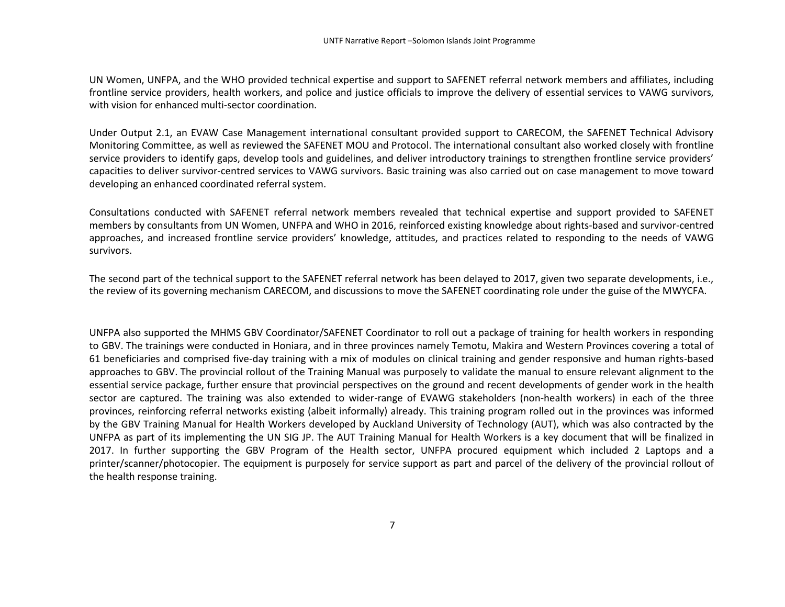UN Women, UNFPA, and the WHO provided technical expertise and support to SAFENET referral network members and affiliates, including frontline service providers, health workers, and police and justice officials to improve the delivery of essential services to VAWG survivors, with vision for enhanced multi-sector coordination.

Under Output 2.1, an EVAW Case Management international consultant provided support to CARECOM, the SAFENET Technical Advisory Monitoring Committee, as well as reviewed the SAFENET MOU and Protocol. The international consultant also worked closely with frontline service providers to identify gaps, develop tools and guidelines, and deliver introductory trainings to strengthen frontline service providers' capacities to deliver survivor-centred services to VAWG survivors. Basic training was also carried out on case management to move toward developing an enhanced coordinated referral system.

Consultations conducted with SAFENET referral network members revealed that technical expertise and support provided to SAFENET members by consultants from UN Women, UNFPA and WHO in 2016, reinforced existing knowledge about rights-based and survivor-centred approaches, and increased frontline service providers' knowledge, attitudes, and practices related to responding to the needs of VAWG survivors.

The second part of the technical support to the SAFENET referral network has been delayed to 2017, given two separate developments, i.e., the review of its governing mechanism CARECOM, and discussions to move the SAFENET coordinating role under the guise of the MWYCFA.

UNFPA also supported the MHMS GBV Coordinator/SAFENET Coordinator to roll out a package of training for health workers in responding to GBV. The trainings were conducted in Honiara, and in three provinces namely Temotu, Makira and Western Provinces covering a total of 61 beneficiaries and comprised five-day training with a mix of modules on clinical training and gender responsive and human rights-based approaches to GBV. The provincial rollout of the Training Manual was purposely to validate the manual to ensure relevant alignment to the essential service package, further ensure that provincial perspectives on the ground and recent developments of gender work in the health sector are captured. The training was also extended to wider-range of EVAWG stakeholders (non-health workers) in each of the three provinces, reinforcing referral networks existing (albeit informally) already. This training program rolled out in the provinces was informed by the GBV Training Manual for Health Workers developed by Auckland University of Technology (AUT), which was also contracted by the UNFPA as part of its implementing the UN SIG JP. The AUT Training Manual for Health Workers is a key document that will be finalized in 2017. In further supporting the GBV Program of the Health sector, UNFPA procured equipment which included 2 Laptops and a printer/scanner/photocopier. The equipment is purposely for service support as part and parcel of the delivery of the provincial rollout of the health response training.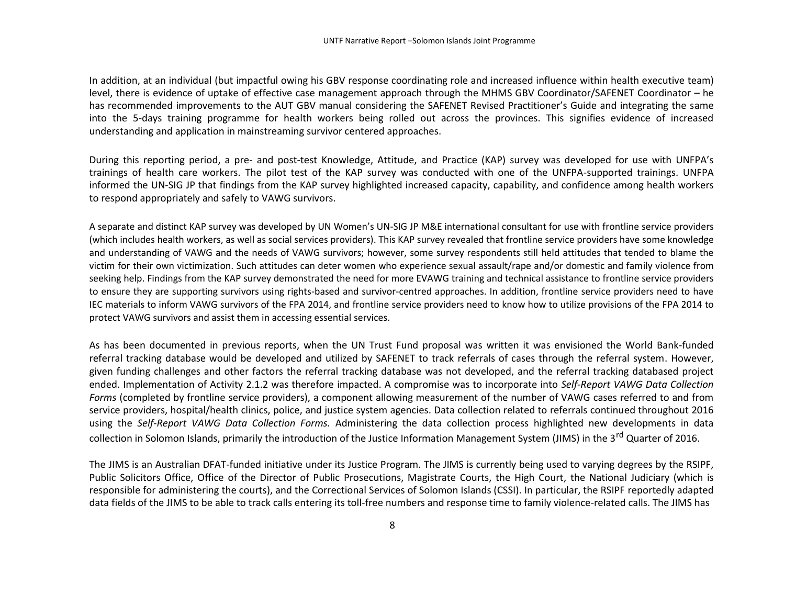In addition, at an individual (but impactful owing his GBV response coordinating role and increased influence within health executive team) level, there is evidence of uptake of effective case management approach through the MHMS GBV Coordinator/SAFENET Coordinator – he has recommended improvements to the AUT GBV manual considering the SAFENET Revised Practitioner's Guide and integrating the same into the 5-days training programme for health workers being rolled out across the provinces. This signifies evidence of increased understanding and application in mainstreaming survivor centered approaches.

During this reporting period, a pre- and post-test Knowledge, Attitude, and Practice (KAP) survey was developed for use with UNFPA's trainings of health care workers. The pilot test of the KAP survey was conducted with one of the UNFPA-supported trainings. UNFPA informed the UN-SIG JP that findings from the KAP survey highlighted increased capacity, capability, and confidence among health workers to respond appropriately and safely to VAWG survivors.

A separate and distinct KAP survey was developed by UN Women's UN-SIG JP M&E international consultant for use with frontline service providers (which includes health workers, as well as social services providers). This KAP survey revealed that frontline service providers have some knowledge and understanding of VAWG and the needs of VAWG survivors; however, some survey respondents still held attitudes that tended to blame the victim for their own victimization. Such attitudes can deter women who experience sexual assault/rape and/or domestic and family violence from seeking help. Findings from the KAP survey demonstrated the need for more EVAWG training and technical assistance to frontline service providers to ensure they are supporting survivors using rights-based and survivor-centred approaches. In addition, frontline service providers need to have IEC materials to inform VAWG survivors of the FPA 2014, and frontline service providers need to know how to utilize provisions of the FPA 2014 to protect VAWG survivors and assist them in accessing essential services.

As has been documented in previous reports, when the UN Trust Fund proposal was written it was envisioned the World Bank-funded referral tracking database would be developed and utilized by SAFENET to track referrals of cases through the referral system. However, given funding challenges and other factors the referral tracking database was not developed, and the referral tracking databased project ended. Implementation of Activity 2.1.2 was therefore impacted. A compromise was to incorporate into *Self-Report VAWG Data Collection Forms* (completed by frontline service providers), a component allowing measurement of the number of VAWG cases referred to and from service providers, hospital/health clinics, police, and justice system agencies. Data collection related to referrals continued throughout 2016 using the *Self-Report VAWG Data Collection Forms.* Administering the data collection process highlighted new developments in data collection in Solomon Islands, primarily the introduction of the Justice Information Management System (JIMS) in the 3<sup>rd</sup> Quarter of 2016.

The JIMS is an Australian DFAT-funded initiative under its Justice Program. The JIMS is currently being used to varying degrees by the RSIPF, Public Solicitors Office, Office of the Director of Public Prosecutions, Magistrate Courts, the High Court, the National Judiciary (which is responsible for administering the courts), and the Correctional Services of Solomon Islands (CSSI). In particular, the RSIPF reportedly adapted data fields of the JIMS to be able to track calls entering its toll-free numbers and response time to family violence-related calls. The JIMS has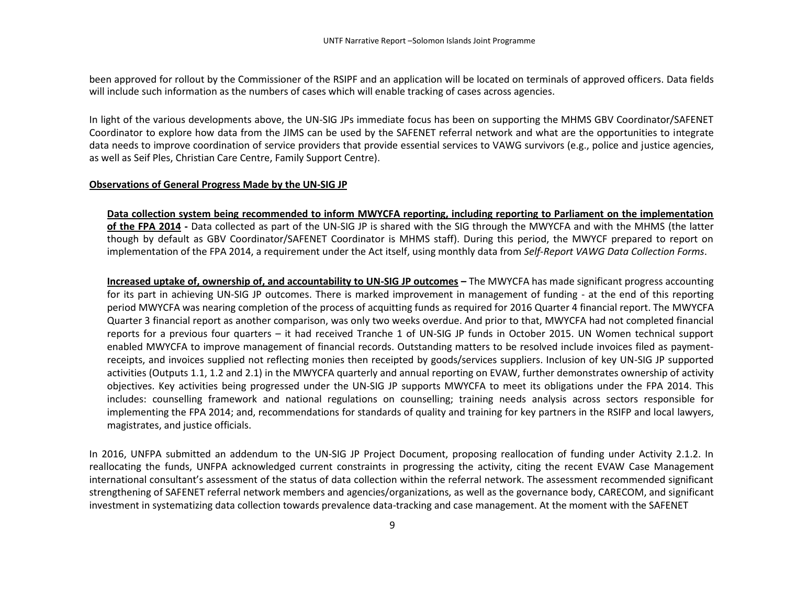been approved for rollout by the Commissioner of the RSIPF and an application will be located on terminals of approved officers. Data fields will include such information as the numbers of cases which will enable tracking of cases across agencies.

In light of the various developments above, the UN-SIG JPs immediate focus has been on supporting the MHMS GBV Coordinator/SAFENET Coordinator to explore how data from the JIMS can be used by the SAFENET referral network and what are the opportunities to integrate data needs to improve coordination of service providers that provide essential services to VAWG survivors (e.g., police and justice agencies, as well as Seif Ples, Christian Care Centre, Family Support Centre).

#### **Observations of General Progress Made by the UN-SIG JP**

**Data collection system being recommended to inform MWYCFA reporting, including reporting to Parliament on the implementation of the FPA 2014 -** Data collected as part of the UN-SIG JP is shared with the SIG through the MWYCFA and with the MHMS (the latter though by default as GBV Coordinator/SAFENET Coordinator is MHMS staff). During this period, the MWYCF prepared to report on implementation of the FPA 2014, a requirement under the Act itself, using monthly data from *Self-Report VAWG Data Collection Forms*.

**Increased uptake of, ownership of, and accountability to UN-SIG JP outcomes –** The MWYCFA has made significant progress accounting for its part in achieving UN-SIG JP outcomes. There is marked improvement in management of funding - at the end of this reporting period MWYCFA was nearing completion of the process of acquitting funds as required for 2016 Quarter 4 financial report. The MWYCFA Quarter 3 financial report as another comparison, was only two weeks overdue. And prior to that, MWYCFA had not completed financial reports for a previous four quarters – it had received Tranche 1 of UN-SIG JP funds in October 2015. UN Women technical support enabled MWYCFA to improve management of financial records. Outstanding matters to be resolved include invoices filed as paymentreceipts, and invoices supplied not reflecting monies then receipted by goods/services suppliers. Inclusion of key UN-SIG JP supported activities (Outputs 1.1, 1.2 and 2.1) in the MWYCFA quarterly and annual reporting on EVAW, further demonstrates ownership of activity objectives. Key activities being progressed under the UN-SIG JP supports MWYCFA to meet its obligations under the FPA 2014. This includes: counselling framework and national regulations on counselling; training needs analysis across sectors responsible for implementing the FPA 2014; and, recommendations for standards of quality and training for key partners in the RSIFP and local lawyers, magistrates, and justice officials.

In 2016, UNFPA submitted an addendum to the UN-SIG JP Project Document, proposing reallocation of funding under Activity 2.1.2. In reallocating the funds, UNFPA acknowledged current constraints in progressing the activity, citing the recent EVAW Case Management international consultant's assessment of the status of data collection within the referral network. The assessment recommended significant strengthening of SAFENET referral network members and agencies/organizations, as well as the governance body, CARECOM, and significant investment in systematizing data collection towards prevalence data-tracking and case management. At the moment with the SAFENET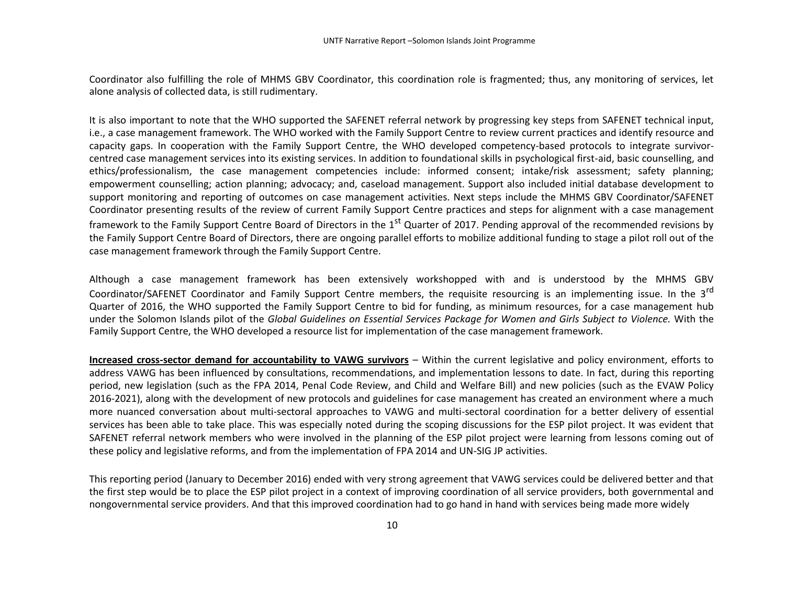Coordinator also fulfilling the role of MHMS GBV Coordinator, this coordination role is fragmented; thus, any monitoring of services, let alone analysis of collected data, is still rudimentary.

It is also important to note that the WHO supported the SAFENET referral network by progressing key steps from SAFENET technical input, i.e., a case management framework. The WHO worked with the Family Support Centre to review current practices and identify resource and capacity gaps. In cooperation with the Family Support Centre, the WHO developed competency-based protocols to integrate survivorcentred case management services into its existing services. In addition to foundational skills in psychological first-aid, basic counselling, and ethics/professionalism, the case management competencies include: informed consent; intake/risk assessment; safety planning; empowerment counselling; action planning; advocacy; and, caseload management. Support also included initial database development to support monitoring and reporting of outcomes on case management activities. Next steps include the MHMS GBV Coordinator/SAFENET Coordinator presenting results of the review of current Family Support Centre practices and steps for alignment with a case management framework to the Family Support Centre Board of Directors in the  $1^{st}$  Quarter of 2017. Pending approval of the recommended revisions by the Family Support Centre Board of Directors, there are ongoing parallel efforts to mobilize additional funding to stage a pilot roll out of the case management framework through the Family Support Centre.

Although a case management framework has been extensively workshopped with and is understood by the MHMS GBV Coordinator/SAFENET Coordinator and Family Support Centre members, the requisite resourcing is an implementing issue. In the 3<sup>rd</sup> Quarter of 2016, the WHO supported the Family Support Centre to bid for funding, as minimum resources, for a case management hub under the Solomon Islands pilot of the *Global Guidelines on Essential Services Package for Women and Girls Subject to Violence.* With the Family Support Centre, the WHO developed a resource list for implementation of the case management framework.

**Increased cross-sector demand for accountability to VAWG survivors** – Within the current legislative and policy environment, efforts to address VAWG has been influenced by consultations, recommendations, and implementation lessons to date. In fact, during this reporting period, new legislation (such as the FPA 2014, Penal Code Review, and Child and Welfare Bill) and new policies (such as the EVAW Policy 2016-2021), along with the development of new protocols and guidelines for case management has created an environment where a much more nuanced conversation about multi-sectoral approaches to VAWG and multi-sectoral coordination for a better delivery of essential services has been able to take place. This was especially noted during the scoping discussions for the ESP pilot project. It was evident that SAFENET referral network members who were involved in the planning of the ESP pilot project were learning from lessons coming out of these policy and legislative reforms, and from the implementation of FPA 2014 and UN-SIG JP activities.

This reporting period (January to December 2016) ended with very strong agreement that VAWG services could be delivered better and that the first step would be to place the ESP pilot project in a context of improving coordination of all service providers, both governmental and nongovernmental service providers. And that this improved coordination had to go hand in hand with services being made more widely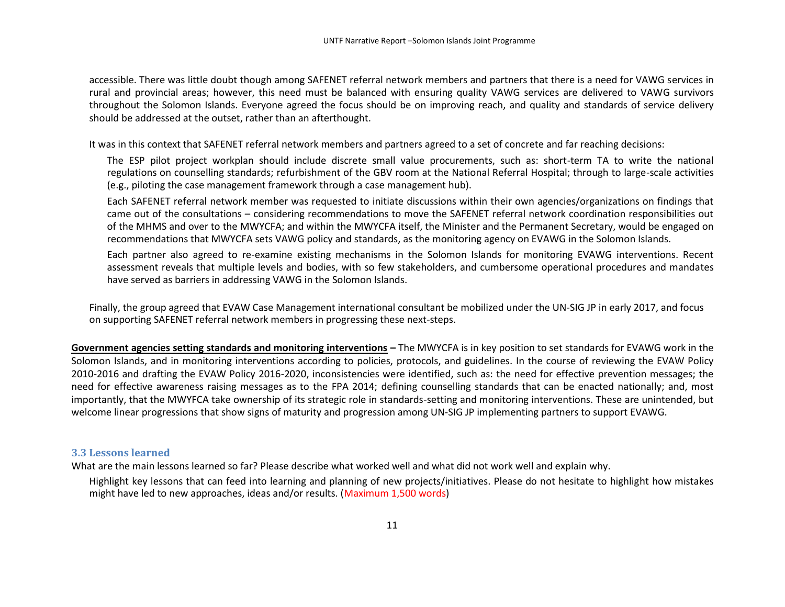accessible. There was little doubt though among SAFENET referral network members and partners that there is a need for VAWG services in rural and provincial areas; however, this need must be balanced with ensuring quality VAWG services are delivered to VAWG survivors throughout the Solomon Islands. Everyone agreed the focus should be on improving reach, and quality and standards of service delivery should be addressed at the outset, rather than an afterthought.

It was in this context that SAFENET referral network members and partners agreed to a set of concrete and far reaching decisions:

The ESP pilot project workplan should include discrete small value procurements, such as: short-term TA to write the national regulations on counselling standards; refurbishment of the GBV room at the National Referral Hospital; through to large-scale activities (e.g., piloting the case management framework through a case management hub).

Each SAFENET referral network member was requested to initiate discussions within their own agencies/organizations on findings that came out of the consultations – considering recommendations to move the SAFENET referral network coordination responsibilities out of the MHMS and over to the MWYCFA; and within the MWYCFA itself, the Minister and the Permanent Secretary, would be engaged on recommendations that MWYCFA sets VAWG policy and standards, as the monitoring agency on EVAWG in the Solomon Islands.

Each partner also agreed to re-examine existing mechanisms in the Solomon Islands for monitoring EVAWG interventions. Recent assessment reveals that multiple levels and bodies, with so few stakeholders, and cumbersome operational procedures and mandates have served as barriers in addressing VAWG in the Solomon Islands.

Finally, the group agreed that EVAW Case Management international consultant be mobilized under the UN-SIG JP in early 2017, and focus on supporting SAFENET referral network members in progressing these next-steps.

**Government agencies setting standards and monitoring interventions –** The MWYCFA is in key position to set standards for EVAWG work in the Solomon Islands, and in monitoring interventions according to policies, protocols, and guidelines. In the course of reviewing the EVAW Policy 2010-2016 and drafting the EVAW Policy 2016-2020, inconsistencies were identified, such as: the need for effective prevention messages; the need for effective awareness raising messages as to the FPA 2014; defining counselling standards that can be enacted nationally; and, most importantly, that the MWYFCA take ownership of its strategic role in standards-setting and monitoring interventions. These are unintended, but welcome linear progressions that show signs of maturity and progression among UN-SIG JP implementing partners to support EVAWG.

#### **3.3 Lessons learned**

What are the main lessons learned so far? Please describe what worked well and what did not work well and explain why.

Highlight key lessons that can feed into learning and planning of new projects/initiatives. Please do not hesitate to highlight how mistakes might have led to new approaches, ideas and/or results. (Maximum 1,500 words)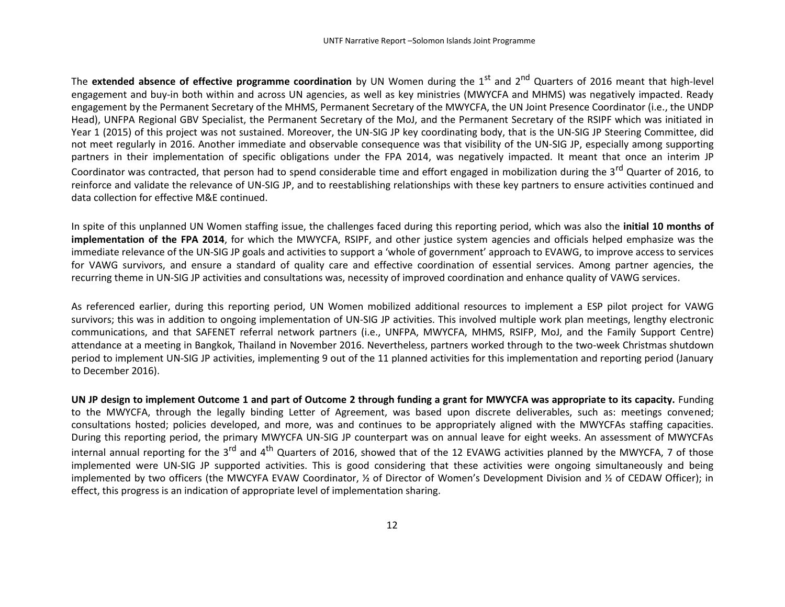The **extended absence of effective programme coordination** by UN Women during the 1<sup>st</sup> and 2<sup>nd</sup> Quarters of 2016 meant that high-level engagement and buy-in both within and across UN agencies, as well as key ministries (MWYCFA and MHMS) was negatively impacted. Ready engagement by the Permanent Secretary of the MHMS, Permanent Secretary of the MWYCFA, the UN Joint Presence Coordinator (i.e., the UNDP Head), UNFPA Regional GBV Specialist, the Permanent Secretary of the MoJ, and the Permanent Secretary of the RSIPF which was initiated in Year 1 (2015) of this project was not sustained. Moreover, the UN-SIG JP key coordinating body, that is the UN-SIG JP Steering Committee, did not meet regularly in 2016. Another immediate and observable consequence was that visibility of the UN-SIG JP, especially among supporting partners in their implementation of specific obligations under the FPA 2014, was negatively impacted. It meant that once an interim JP Coordinator was contracted, that person had to spend considerable time and effort engaged in mobilization during the 3<sup>rd</sup> Quarter of 2016, to reinforce and validate the relevance of UN-SIG JP, and to reestablishing relationships with these key partners to ensure activities continued and data collection for effective M&E continued.

In spite of this unplanned UN Women staffing issue, the challenges faced during this reporting period, which was also the **initial 10 months of implementation of the FPA 2014**, for which the MWYCFA, RSIPF, and other justice system agencies and officials helped emphasize was the immediate relevance of the UN-SIG JP goals and activities to support a 'whole of government' approach to EVAWG, to improve access to services for VAWG survivors, and ensure a standard of quality care and effective coordination of essential services. Among partner agencies, the recurring theme in UN-SIG JP activities and consultations was, necessity of improved coordination and enhance quality of VAWG services.

As referenced earlier, during this reporting period, UN Women mobilized additional resources to implement a ESP pilot project for VAWG survivors; this was in addition to ongoing implementation of UN-SIG JP activities. This involved multiple work plan meetings, lengthy electronic communications, and that SAFENET referral network partners (i.e., UNFPA, MWYCFA, MHMS, RSIFP, MoJ, and the Family Support Centre) attendance at a meeting in Bangkok, Thailand in November 2016. Nevertheless, partners worked through to the two-week Christmas shutdown period to implement UN-SIG JP activities, implementing 9 out of the 11 planned activities for this implementation and reporting period (January to December 2016).

**UN JP design to implement Outcome 1 and part of Outcome 2 through funding a grant for MWYCFA was appropriate to its capacity.** Funding to the MWYCFA, through the legally binding Letter of Agreement, was based upon discrete deliverables, such as: meetings convened; consultations hosted; policies developed, and more, was and continues to be appropriately aligned with the MWYCFAs staffing capacities. During this reporting period, the primary MWYCFA UN-SIG JP counterpart was on annual leave for eight weeks. An assessment of MWYCFAs internal annual reporting for the 3<sup>rd</sup> and 4<sup>th</sup> Quarters of 2016, showed that of the 12 EVAWG activities planned by the MWYCFA, 7 of those implemented were UN-SIG JP supported activities. This is good considering that these activities were ongoing simultaneously and being implemented by two officers (the MWCYFA EVAW Coordinator, ½ of Director of Women's Development Division and ½ of CEDAW Officer); in effect, this progress is an indication of appropriate level of implementation sharing.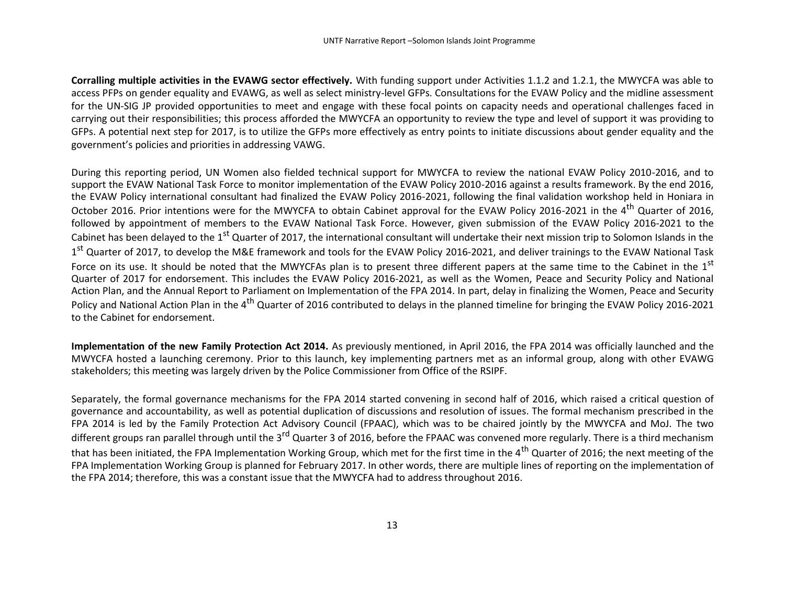**Corralling multiple activities in the EVAWG sector effectively.** With funding support under Activities 1.1.2 and 1.2.1, the MWYCFA was able to access PFPs on gender equality and EVAWG, as well as select ministry-level GFPs. Consultations for the EVAW Policy and the midline assessment for the UN-SIG JP provided opportunities to meet and engage with these focal points on capacity needs and operational challenges faced in carrying out their responsibilities; this process afforded the MWYCFA an opportunity to review the type and level of support it was providing to GFPs. A potential next step for 2017, is to utilize the GFPs more effectively as entry points to initiate discussions about gender equality and the government's policies and priorities in addressing VAWG.

During this reporting period, UN Women also fielded technical support for MWYCFA to review the national EVAW Policy 2010-2016, and to support the EVAW National Task Force to monitor implementation of the EVAW Policy 2010-2016 against a results framework. By the end 2016, the EVAW Policy international consultant had finalized the EVAW Policy 2016-2021, following the final validation workshop held in Honiara in October 2016. Prior intentions were for the MWYCFA to obtain Cabinet approval for the EVAW Policy 2016-2021 in the 4<sup>th</sup> Quarter of 2016. followed by appointment of members to the EVAW National Task Force. However, given submission of the EVAW Policy 2016-2021 to the Cabinet has been delayed to the 1<sup>st</sup> Quarter of 2017, the international consultant will undertake their next mission trip to Solomon Islands in the 1<sup>st</sup> Quarter of 2017, to develop the M&E framework and tools for the EVAW Policy 2016-2021, and deliver trainings to the EVAW National Task Force on its use. It should be noted that the MWYCFAs plan is to present three different papers at the same time to the Cabinet in the 1<sup>st</sup> Quarter of 2017 for endorsement. This includes the EVAW Policy 2016-2021, as well as the Women, Peace and Security Policy and National Action Plan, and the Annual Report to Parliament on Implementation of the FPA 2014. In part, delay in finalizing the Women, Peace and Security Policy and National Action Plan in the 4<sup>th</sup> Quarter of 2016 contributed to delays in the planned timeline for bringing the EVAW Policy 2016-2021 to the Cabinet for endorsement.

**Implementation of the new Family Protection Act 2014.** As previously mentioned, in April 2016, the FPA 2014 was officially launched and the MWYCFA hosted a launching ceremony. Prior to this launch, key implementing partners met as an informal group, along with other EVAWG stakeholders; this meeting was largely driven by the Police Commissioner from Office of the RSIPF.

Separately, the formal governance mechanisms for the FPA 2014 started convening in second half of 2016, which raised a critical question of governance and accountability, as well as potential duplication of discussions and resolution of issues. The formal mechanism prescribed in the FPA 2014 is led by the Family Protection Act Advisory Council (FPAAC), which was to be chaired jointly by the MWYCFA and MoJ. The two different groups ran parallel through until the 3<sup>rd</sup> Quarter 3 of 2016, before the FPAAC was convened more regularly. There is a third mechanism that has been initiated, the FPA Implementation Working Group, which met for the first time in the 4<sup>th</sup> Quarter of 2016; the next meeting of the FPA Implementation Working Group is planned for February 2017. In other words, there are multiple lines of reporting on the implementation of the FPA 2014; therefore, this was a constant issue that the MWYCFA had to address throughout 2016.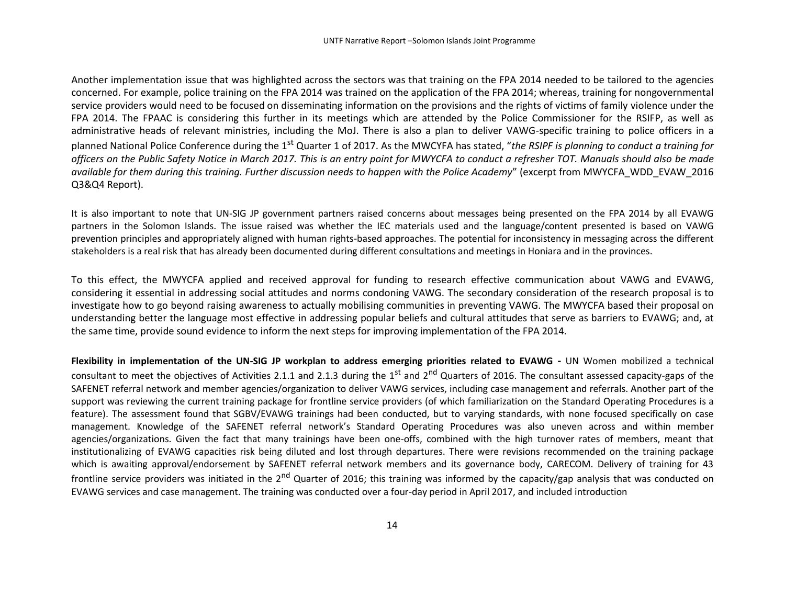Another implementation issue that was highlighted across the sectors was that training on the FPA 2014 needed to be tailored to the agencies concerned. For example, police training on the FPA 2014 was trained on the application of the FPA 2014; whereas, training for nongovernmental service providers would need to be focused on disseminating information on the provisions and the rights of victims of family violence under the FPA 2014. The FPAAC is considering this further in its meetings which are attended by the Police Commissioner for the RSIFP, as well as administrative heads of relevant ministries, including the MoJ. There is also a plan to deliver VAWG-specific training to police officers in a planned National Police Conference during the 1st Quarter 1 of 2017. As the MWCYFA has stated, "*the RSIPF is planning to conduct a training for officers on the Public Safety Notice in March 2017. This is an entry point for MWYCFA to conduct a refresher TOT. Manuals should also be made available for them during this training. Further discussion needs to happen with the Police Academy*" (excerpt from MWYCFA\_WDD\_EVAW\_2016 Q3&Q4 Report).

It is also important to note that UN-SIG JP government partners raised concerns about messages being presented on the FPA 2014 by all EVAWG partners in the Solomon Islands. The issue raised was whether the IEC materials used and the language/content presented is based on VAWG prevention principles and appropriately aligned with human rights-based approaches. The potential for inconsistency in messaging across the different stakeholders is a real risk that has already been documented during different consultations and meetings in Honiara and in the provinces.

To this effect, the MWYCFA applied and received approval for funding to research effective communication about VAWG and EVAWG, considering it essential in addressing social attitudes and norms condoning VAWG. The secondary consideration of the research proposal is to investigate how to go beyond raising awareness to actually mobilising communities in preventing VAWG. The MWYCFA based their proposal on understanding better the language most effective in addressing popular beliefs and cultural attitudes that serve as barriers to EVAWG; and, at the same time, provide sound evidence to inform the next steps for improving implementation of the FPA 2014.

**Flexibility in implementation of the UN-SIG JP workplan to address emerging priorities related to EVAWG -** UN Women mobilized a technical consultant to meet the objectives of Activities 2.1.1 and 2.1.3 during the  $1<sup>st</sup>$  and  $2<sup>nd</sup>$  Quarters of 2016. The consultant assessed capacity-gaps of the SAFENET referral network and member agencies/organization to deliver VAWG services, including case management and referrals. Another part of the support was reviewing the current training package for frontline service providers (of which familiarization on the Standard Operating Procedures is a feature). The assessment found that SGBV/EVAWG trainings had been conducted, but to varying standards, with none focused specifically on case management. Knowledge of the SAFENET referral network's Standard Operating Procedures was also uneven across and within member agencies/organizations. Given the fact that many trainings have been one-offs, combined with the high turnover rates of members, meant that institutionalizing of EVAWG capacities risk being diluted and lost through departures. There were revisions recommended on the training package which is awaiting approval/endorsement by SAFENET referral network members and its governance body, CARECOM. Delivery of training for 43 frontline service providers was initiated in the 2<sup>nd</sup> Quarter of 2016; this training was informed by the capacity/gap analysis that was conducted on EVAWG services and case management. The training was conducted over a four-day period in April 2017, and included introduction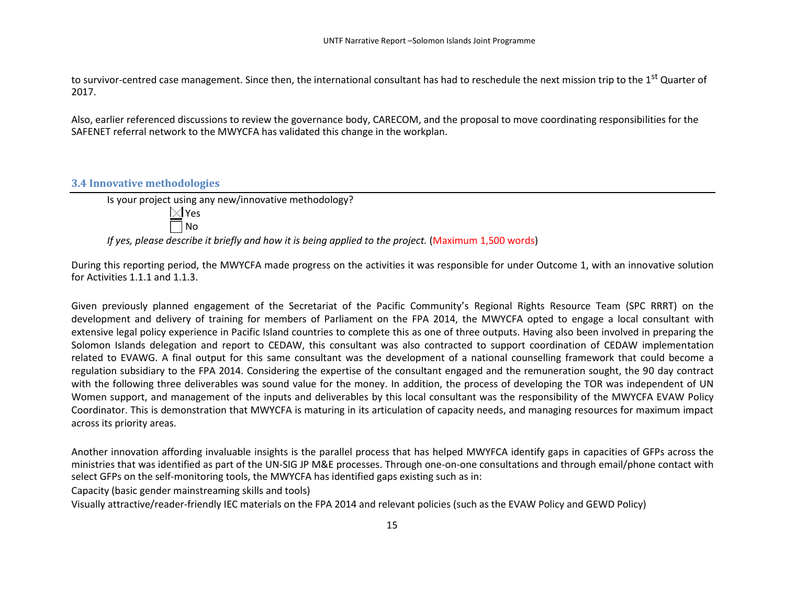to survivor-centred case management. Since then, the international consultant has had to reschedule the next mission trip to the 1<sup>st</sup> Quarter of 2017.

Also, earlier referenced discussions to review the governance body, CARECOM, and the proposal to move coordinating responsibilities for the SAFENET referral network to the MWYCFA has validated this change in the workplan.

#### **3.4 Innovative methodologies**

Is your project using any new/innovative methodology?  $\boxtimes$  Yes

No

*If yes, please describe it briefly and how it is being applied to the project. (Maximum 1,500 words)* 

During this reporting period, the MWYCFA made progress on the activities it was responsible for under Outcome 1, with an innovative solution for Activities 1.1.1 and 1.1.3.

Given previously planned engagement of the Secretariat of the Pacific Community's Regional Rights Resource Team (SPC RRRT) on the development and delivery of training for members of Parliament on the FPA 2014, the MWYCFA opted to engage a local consultant with extensive legal policy experience in Pacific Island countries to complete this as one of three outputs. Having also been involved in preparing the Solomon Islands delegation and report to CEDAW, this consultant was also contracted to support coordination of CEDAW implementation related to EVAWG. A final output for this same consultant was the development of a national counselling framework that could become a regulation subsidiary to the FPA 2014. Considering the expertise of the consultant engaged and the remuneration sought, the 90 day contract with the following three deliverables was sound value for the money. In addition, the process of developing the TOR was independent of UN Women support, and management of the inputs and deliverables by this local consultant was the responsibility of the MWYCFA EVAW Policy Coordinator. This is demonstration that MWYCFA is maturing in its articulation of capacity needs, and managing resources for maximum impact across its priority areas.

Another innovation affording invaluable insights is the parallel process that has helped MWYFCA identify gaps in capacities of GFPs across the ministries that was identified as part of the UN-SIG JP M&E processes. Through one-on-one consultations and through email/phone contact with select GFPs on the self-monitoring tools, the MWYCFA has identified gaps existing such as in:

Capacity (basic gender mainstreaming skills and tools)

Visually attractive/reader-friendly IEC materials on the FPA 2014 and relevant policies (such as the EVAW Policy and GEWD Policy)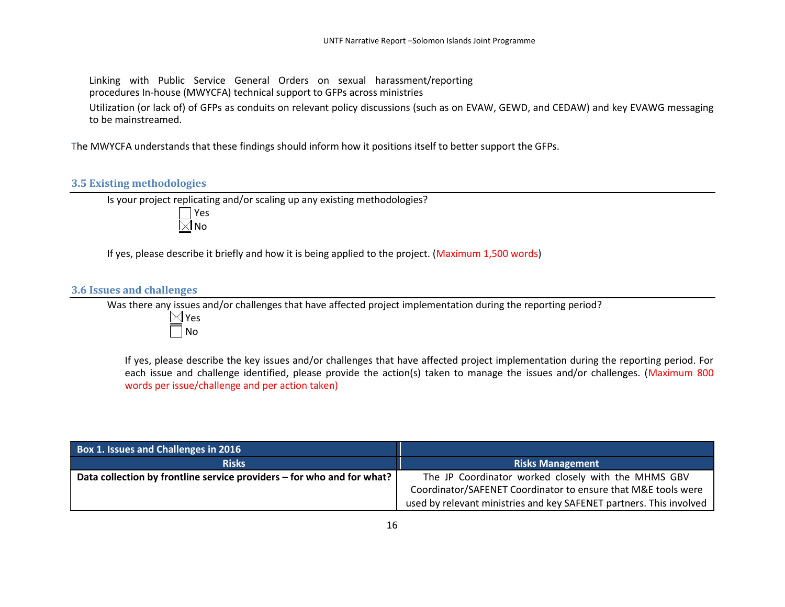Linking with Public Service General Orders on sexual harassment/reporting procedures In-house (MWYCFA) technical support to GFPs across ministries

Utilization (or lack of) of GFPs as conduits on relevant policy discussions (such as on EVAW, GEWD, and CEDAW) and key EVAWG messaging to be mainstreamed.

The MWYCFA understands that these findings should inform how it positions itself to better support the GFPs.

#### **3.5 Existing methodologies**

Is your project replicating and/or scaling up any existing methodologies?

Yes  $\times$ l No

If yes, please describe it briefly and how it is being applied to the project. (Maximum 1,500 words)

## **3.6 Issues and challenges**

Was there any issues and/or challenges that have affected project implementation during the reporting period?



If yes, please describe the key issues and/or challenges that have affected project implementation during the reporting period. For each issue and challenge identified, please provide the action(s) taken to manage the issues and/or challenges. (Maximum 800 words per issue/challenge and per action taken)

| Box 1. Issues and Challenges in 2016                                   |                                                                     |  |
|------------------------------------------------------------------------|---------------------------------------------------------------------|--|
| <b>Risks</b>                                                           | <b>Risks Management</b>                                             |  |
| Data collection by frontline service providers – for who and for what? | The JP Coordinator worked closely with the MHMS GBV                 |  |
|                                                                        | Coordinator/SAFENET Coordinator to ensure that M&E tools were       |  |
|                                                                        | used by relevant ministries and key SAFENET partners. This involved |  |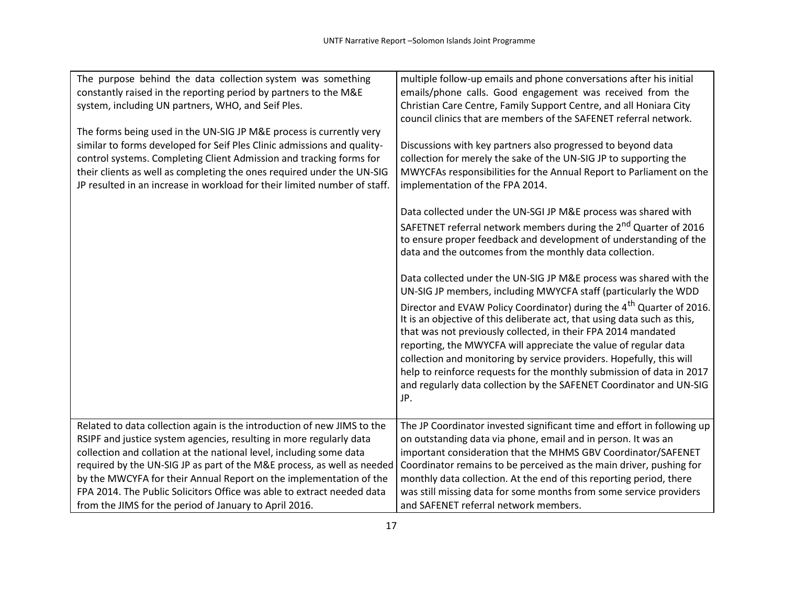| The purpose behind the data collection system was something<br>constantly raised in the reporting period by partners to the M&E<br>system, including UN partners, WHO, and Seif Ples.                                                                                                                                                                                                                                                                                                                      | multiple follow-up emails and phone conversations after his initial<br>emails/phone calls. Good engagement was received from the<br>Christian Care Centre, Family Support Centre, and all Honiara City<br>council clinics that are members of the SAFENET referral network.                                                                                                                                                                                                                                                                                                                                                                                                                                                                                                                                                                                                                                                                                 |
|------------------------------------------------------------------------------------------------------------------------------------------------------------------------------------------------------------------------------------------------------------------------------------------------------------------------------------------------------------------------------------------------------------------------------------------------------------------------------------------------------------|-------------------------------------------------------------------------------------------------------------------------------------------------------------------------------------------------------------------------------------------------------------------------------------------------------------------------------------------------------------------------------------------------------------------------------------------------------------------------------------------------------------------------------------------------------------------------------------------------------------------------------------------------------------------------------------------------------------------------------------------------------------------------------------------------------------------------------------------------------------------------------------------------------------------------------------------------------------|
| The forms being used in the UN-SIG JP M&E process is currently very<br>similar to forms developed for Seif Ples Clinic admissions and quality-<br>control systems. Completing Client Admission and tracking forms for<br>their clients as well as completing the ones required under the UN-SIG<br>JP resulted in an increase in workload for their limited number of staff.                                                                                                                               | Discussions with key partners also progressed to beyond data<br>collection for merely the sake of the UN-SIG JP to supporting the<br>MWYCFAs responsibilities for the Annual Report to Parliament on the<br>implementation of the FPA 2014.                                                                                                                                                                                                                                                                                                                                                                                                                                                                                                                                                                                                                                                                                                                 |
|                                                                                                                                                                                                                                                                                                                                                                                                                                                                                                            | Data collected under the UN-SGI JP M&E process was shared with<br>SAFETNET referral network members during the 2 <sup>nd</sup> Quarter of 2016<br>to ensure proper feedback and development of understanding of the<br>data and the outcomes from the monthly data collection.<br>Data collected under the UN-SIG JP M&E process was shared with the<br>UN-SIG JP members, including MWYCFA staff (particularly the WDD<br>Director and EVAW Policy Coordinator) during the 4 <sup>th</sup> Quarter of 2016.<br>It is an objective of this deliberate act, that using data such as this,<br>that was not previously collected, in their FPA 2014 mandated<br>reporting, the MWYCFA will appreciate the value of regular data<br>collection and monitoring by service providers. Hopefully, this will<br>help to reinforce requests for the monthly submission of data in 2017<br>and regularly data collection by the SAFENET Coordinator and UN-SIG<br>JP. |
| Related to data collection again is the introduction of new JIMS to the<br>RSIPF and justice system agencies, resulting in more regularly data<br>collection and collation at the national level, including some data<br>required by the UN-SIG JP as part of the M&E process, as well as needed<br>by the MWCYFA for their Annual Report on the implementation of the<br>FPA 2014. The Public Solicitors Office was able to extract needed data<br>from the JIMS for the period of January to April 2016. | The JP Coordinator invested significant time and effort in following up<br>on outstanding data via phone, email and in person. It was an<br>important consideration that the MHMS GBV Coordinator/SAFENET<br>Coordinator remains to be perceived as the main driver, pushing for<br>monthly data collection. At the end of this reporting period, there<br>was still missing data for some months from some service providers<br>and SAFENET referral network members.                                                                                                                                                                                                                                                                                                                                                                                                                                                                                      |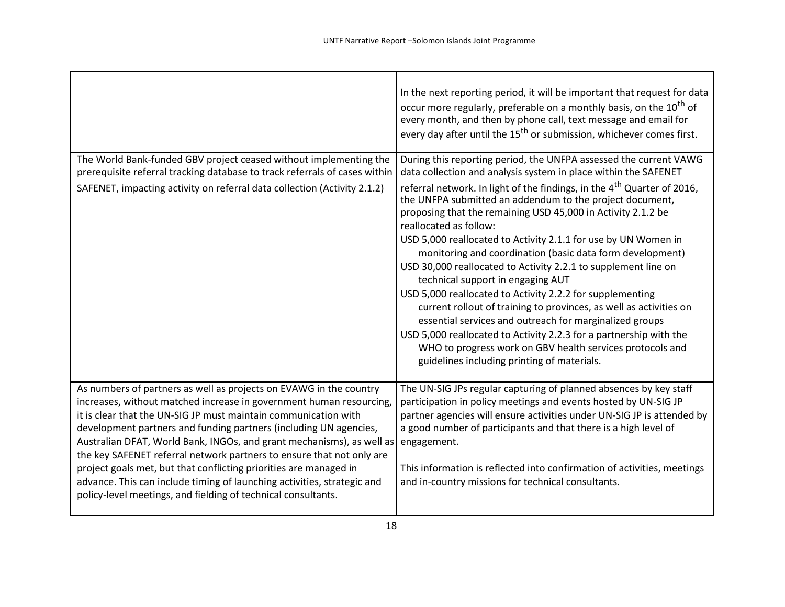|                                                                                                                                                                                                                                                                                                                                                                                                                                                                                                                                                                                                                                                      | In the next reporting period, it will be important that request for data<br>occur more regularly, preferable on a monthly basis, on the 10 <sup>th</sup> of<br>every month, and then by phone call, text message and email for<br>every day after until the 15 <sup>th</sup> or submission, whichever comes first.                                                                                                                                                                                                                                                                                                                                                                                           |
|------------------------------------------------------------------------------------------------------------------------------------------------------------------------------------------------------------------------------------------------------------------------------------------------------------------------------------------------------------------------------------------------------------------------------------------------------------------------------------------------------------------------------------------------------------------------------------------------------------------------------------------------------|--------------------------------------------------------------------------------------------------------------------------------------------------------------------------------------------------------------------------------------------------------------------------------------------------------------------------------------------------------------------------------------------------------------------------------------------------------------------------------------------------------------------------------------------------------------------------------------------------------------------------------------------------------------------------------------------------------------|
| The World Bank-funded GBV project ceased without implementing the<br>prerequisite referral tracking database to track referrals of cases within<br>SAFENET, impacting activity on referral data collection (Activity 2.1.2)                                                                                                                                                                                                                                                                                                                                                                                                                          | During this reporting period, the UNFPA assessed the current VAWG<br>data collection and analysis system in place within the SAFENET<br>referral network. In light of the findings, in the 4 <sup>th</sup> Quarter of 2016,<br>the UNFPA submitted an addendum to the project document,                                                                                                                                                                                                                                                                                                                                                                                                                      |
|                                                                                                                                                                                                                                                                                                                                                                                                                                                                                                                                                                                                                                                      | proposing that the remaining USD 45,000 in Activity 2.1.2 be<br>reallocated as follow:<br>USD 5,000 reallocated to Activity 2.1.1 for use by UN Women in<br>monitoring and coordination (basic data form development)<br>USD 30,000 reallocated to Activity 2.2.1 to supplement line on<br>technical support in engaging AUT<br>USD 5,000 reallocated to Activity 2.2.2 for supplementing<br>current rollout of training to provinces, as well as activities on<br>essential services and outreach for marginalized groups<br>USD 5,000 reallocated to Activity 2.2.3 for a partnership with the<br>WHO to progress work on GBV health services protocols and<br>guidelines including printing of materials. |
| As numbers of partners as well as projects on EVAWG in the country<br>increases, without matched increase in government human resourcing,<br>it is clear that the UN-SIG JP must maintain communication with<br>development partners and funding partners (including UN agencies,<br>Australian DFAT, World Bank, INGOs, and grant mechanisms), as well as<br>the key SAFENET referral network partners to ensure that not only are<br>project goals met, but that conflicting priorities are managed in<br>advance. This can include timing of launching activities, strategic and<br>policy-level meetings, and fielding of technical consultants. | The UN-SIG JPs regular capturing of planned absences by key staff<br>participation in policy meetings and events hosted by UN-SIG JP<br>partner agencies will ensure activities under UN-SIG JP is attended by<br>a good number of participants and that there is a high level of<br>engagement.<br>This information is reflected into confirmation of activities, meetings<br>and in-country missions for technical consultants.                                                                                                                                                                                                                                                                            |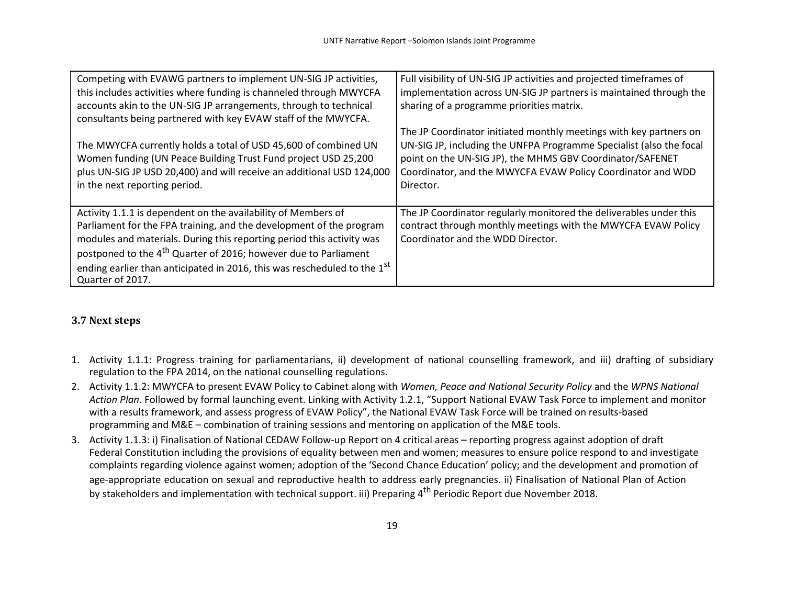| Competing with EVAWG partners to implement UN-SIG JP activities,                     | Full visibility of UN-SIG JP activities and projected timeframes of |
|--------------------------------------------------------------------------------------|---------------------------------------------------------------------|
| this includes activities where funding is channeled through MWYCFA                   | implementation across UN-SIG JP partners is maintained through the  |
| accounts akin to the UN-SIG JP arrangements, through to technical                    | sharing of a programme priorities matrix.                           |
| consultants being partnered with key EVAW staff of the MWYCFA.                       |                                                                     |
|                                                                                      | The JP Coordinator initiated monthly meetings with key partners on  |
| The MWYCFA currently holds a total of USD 45,600 of combined UN                      | UN-SIG JP, including the UNFPA Programme Specialist (also the focal |
| Women funding (UN Peace Building Trust Fund project USD 25,200                       | point on the UN-SIG JP), the MHMS GBV Coordinator/SAFENET           |
| plus UN-SIG JP USD 20,400) and will receive an additional USD 124,000                | Coordinator, and the MWYCFA EVAW Policy Coordinator and WDD         |
| in the next reporting period.                                                        | Director.                                                           |
|                                                                                      |                                                                     |
| Activity 1.1.1 is dependent on the availability of Members of                        | The JP Coordinator regularly monitored the deliverables under this  |
| Parliament for the FPA training, and the development of the program                  | contract through monthly meetings with the MWYCFA EVAW Policy       |
| modules and materials. During this reporting period this activity was                | Coordinator and the WDD Director.                                   |
| postponed to the 4 <sup>th</sup> Quarter of 2016; however due to Parliament          |                                                                     |
| ending earlier than anticipated in 2016, this was rescheduled to the 1 <sup>st</sup> |                                                                     |
| Quarter of 2017.                                                                     |                                                                     |

## **3.7 Next steps**

- 1. Activity 1.1.1: Progress training for parliamentarians, ii) development of national counselling framework, and iii) drafting of subsidiary regulation to the FPA 2014, on the national counselling regulations.
- 2. Activity 1.1.2: MWYCFA to present EVAW Policy to Cabinet along with *Women, Peace and National Security Policy* and the *WPNS National Action Plan*. Followed by formal launching event. Linking with Activity 1.2.1, "Support National EVAW Task Force to implement and monitor with a results framework, and assess progress of EVAW Policy", the National EVAW Task Force will be trained on results-based programming and M&E – combination of training sessions and mentoring on application of the M&E tools.
- 3. Activity 1.1.3: i) Finalisation of National CEDAW Follow-up Report on 4 critical areas reporting progress against adoption of draft Federal Constitution including the provisions of equality between men and women; measures to ensure police respond to and investigate complaints regarding violence against women; adoption of the 'Second Chance Education' policy; and the development and promotion of age-appropriate education on sexual and reproductive health to address early pregnancies. ii) Finalisation of National Plan of Action by stakeholders and implementation with technical support. iii) Preparing 4<sup>th</sup> Periodic Report due November 2018.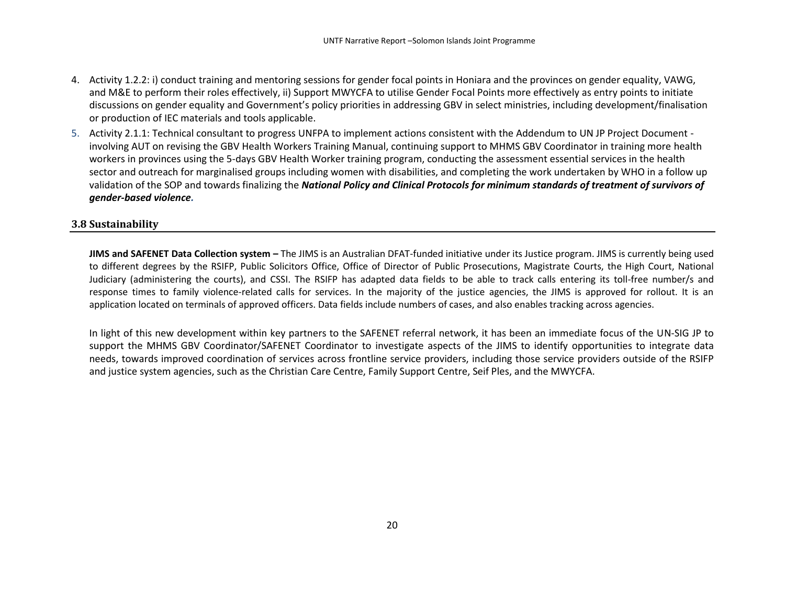- 4. Activity 1.2.2: i) conduct training and mentoring sessions for gender focal points in Honiara and the provinces on gender equality, VAWG, and M&E to perform their roles effectively, ii) Support MWYCFA to utilise Gender Focal Points more effectively as entry points to initiate discussions on gender equality and Government's policy priorities in addressing GBV in select ministries, including development/finalisation or production of IEC materials and tools applicable.
- 5. Activity 2.1.1: Technical consultant to progress UNFPA to implement actions consistent with the Addendum to UN JP Project Document involving AUT on revising the GBV Health Workers Training Manual, continuing support to MHMS GBV Coordinator in training more health workers in provinces using the 5-days GBV Health Worker training program, conducting the assessment essential services in the health sector and outreach for marginalised groups including women with disabilities, and completing the work undertaken by WHO in a follow up validation of the SOP and towards finalizing the *National Policy and Clinical Protocols for minimum standards of treatment of survivors of gender-based violence.*

#### **3.8 Sustainability**

**JIMS and SAFENET Data Collection system –** The JIMS is an Australian DFAT-funded initiative under its Justice program. JIMS is currently being used to different degrees by the RSIFP, Public Solicitors Office, Office of Director of Public Prosecutions, Magistrate Courts, the High Court, National Judiciary (administering the courts), and CSSI. The RSIFP has adapted data fields to be able to track calls entering its toll-free number/s and response times to family violence-related calls for services. In the majority of the justice agencies, the JIMS is approved for rollout. It is an application located on terminals of approved officers. Data fields include numbers of cases, and also enables tracking across agencies.

In light of this new development within key partners to the SAFENET referral network, it has been an immediate focus of the UN-SIG JP to support the MHMS GBV Coordinator/SAFENET Coordinator to investigate aspects of the JIMS to identify opportunities to integrate data needs, towards improved coordination of services across frontline service providers, including those service providers outside of the RSIFP and justice system agencies, such as the Christian Care Centre, Family Support Centre, Seif Ples, and the MWYCFA.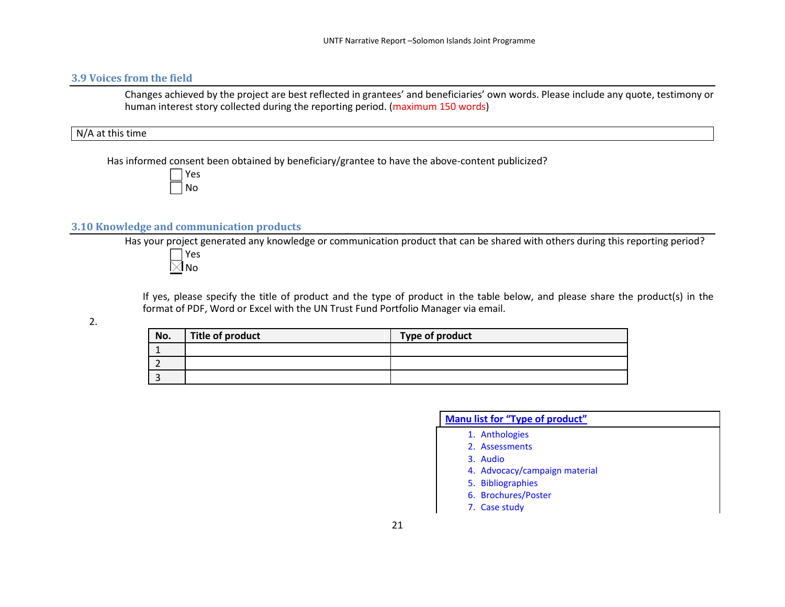## **3.9 Voices from the field**

Changes achieved by the project are best reflected in grantees' and beneficiaries' own words. Please include any quote, testimony or human interest story collected during the reporting period. (maximum 150 words)

#### N/A at this time

Has informed consent been obtained by beneficiary/grantee to have the above-content publicized?

Yes No

#### **3.10 Knowledge and communication products**

Has your project generated any knowledge or communication product that can be shared with others during this reporting period? Yes  $\boxtimes$ No

If yes, please specify the title of product and the type of product in the table below, and please share the product(s) in the format of PDF, Word or Excel with the UN Trust Fund Portfolio Manager via email.

2.

| No. | Title of product | Type of product |
|-----|------------------|-----------------|
|     |                  |                 |
|     |                  |                 |
|     |                  |                 |

| Manu list for "Type of product" |
|---------------------------------|
| 1. Anthologies                  |
| 2. Assessments                  |
| 3. Audio                        |
| 4. Advocacy/campaign material   |
| 5. Bibliographies               |
| 6. Brochures/Poster             |
| 7. Case study                   |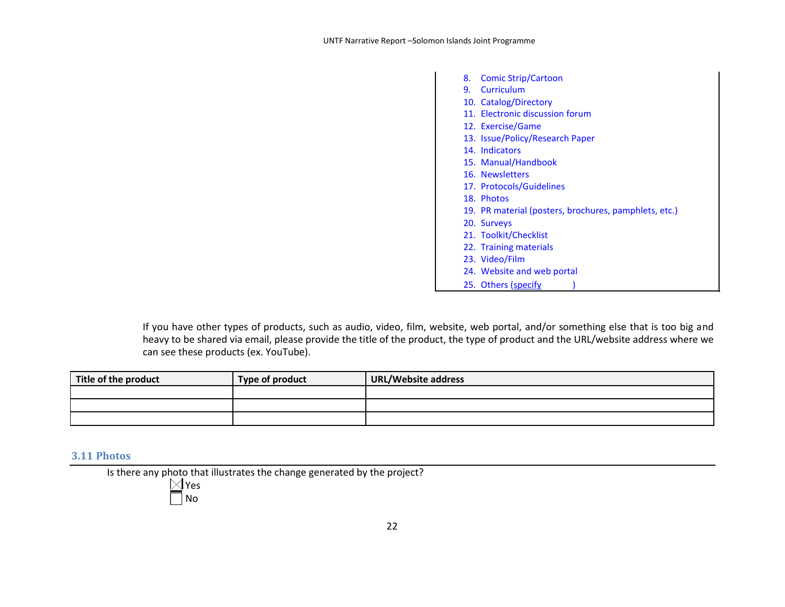|  | 8. Comic Strip/Cartoon                                |
|--|-------------------------------------------------------|
|  | 9. Curriculum                                         |
|  | 10. Catalog/Directory                                 |
|  | 11. Electronic discussion forum                       |
|  | 12. Exercise/Game                                     |
|  | 13. Issue/Policy/Research Paper                       |
|  | 14. Indicators                                        |
|  | 15. Manual/Handbook                                   |
|  | 16. Newsletters                                       |
|  | 17. Protocols/Guidelines                              |
|  | 18. Photos                                            |
|  | 19. PR material (posters, brochures, pamphlets, etc.) |
|  | 20. Surveys                                           |
|  | 21. Toolkit/Checklist                                 |
|  | 22. Training materials                                |
|  | 23. Video/Film                                        |
|  | 24. Website and web portal                            |
|  | 25. Others (specify)                                  |

If you have other types of products, such as audio, video, film, website, web portal, and/or something else that is too big and heavy to be shared via email, please provide the title of the product, the type of product and the URL/website address where we can see these products (ex. YouTube).

| Title of the product | Type of product | URL/Website address |
|----------------------|-----------------|---------------------|
|                      |                 |                     |
|                      |                 |                     |
|                      |                 |                     |

**3.11 Photos** 

Is there any photo that illustrates the change generated by the project?

 $\boxtimes$  Yes No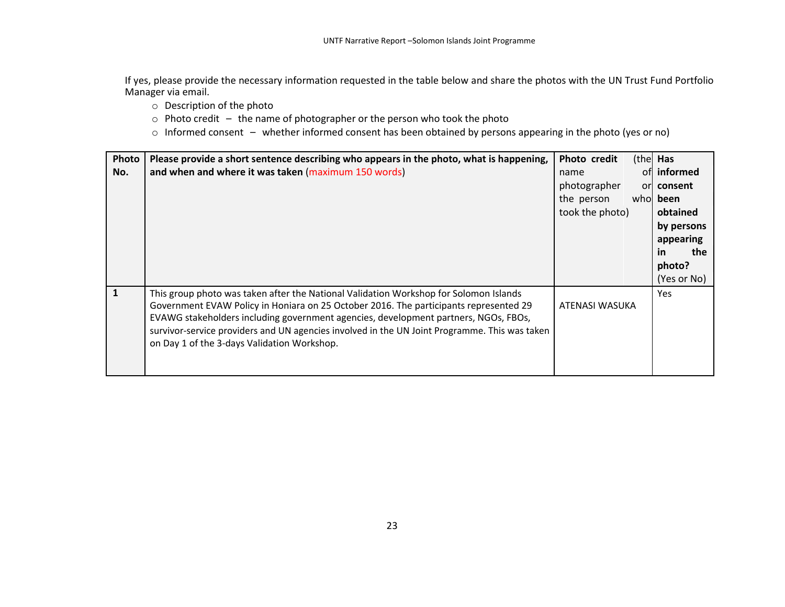If yes, please provide the necessary information requested in the table below and share the photos with the UN Trust Fund Portfolio Manager via email.

- o Description of the photo
- $\circ$  Photo credit the name of photographer or the person who took the photo
- o Informed consent whether informed consent has been obtained by persons appearing in the photo (yes or no)

| Photo        | Please provide a short sentence describing who appears in the photo, what is happening,       | Photo credit    | (the Has    |
|--------------|-----------------------------------------------------------------------------------------------|-----------------|-------------|
| No.          | and when and where it was taken (maximum 150 words)                                           | name            | of informed |
|              |                                                                                               | photographer    | orl consent |
|              |                                                                                               | the person      | whol been   |
|              |                                                                                               | took the photo) | obtained    |
|              |                                                                                               |                 | by persons  |
|              |                                                                                               |                 | appearing   |
|              |                                                                                               |                 | in<br>the   |
|              |                                                                                               |                 | photo?      |
|              |                                                                                               |                 | (Yes or No) |
| $\mathbf{1}$ | This group photo was taken after the National Validation Workshop for Solomon Islands         |                 | <b>Yes</b>  |
|              | Government EVAW Policy in Honiara on 25 October 2016. The participants represented 29         | ATENASI WASUKA  |             |
|              | EVAWG stakeholders including government agencies, development partners, NGOs, FBOs,           |                 |             |
|              | survivor-service providers and UN agencies involved in the UN Joint Programme. This was taken |                 |             |
|              | on Day 1 of the 3-days Validation Workshop.                                                   |                 |             |
|              |                                                                                               |                 |             |
|              |                                                                                               |                 |             |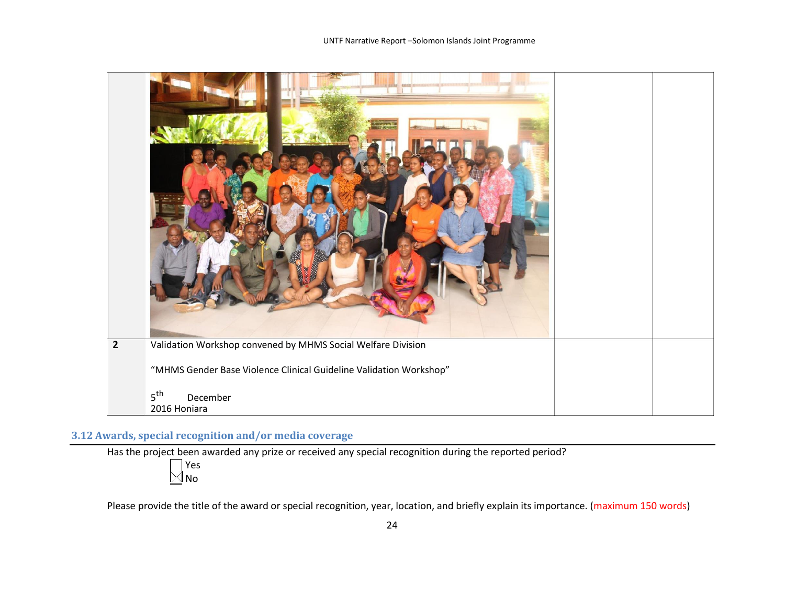

# **3.12 Awards, special recognition and/or media coverage**

Has the project been awarded any prize or received any special recognition during the reported period?



Please provide the title of the award or special recognition, year, location, and briefly explain its importance. (maximum 150 words)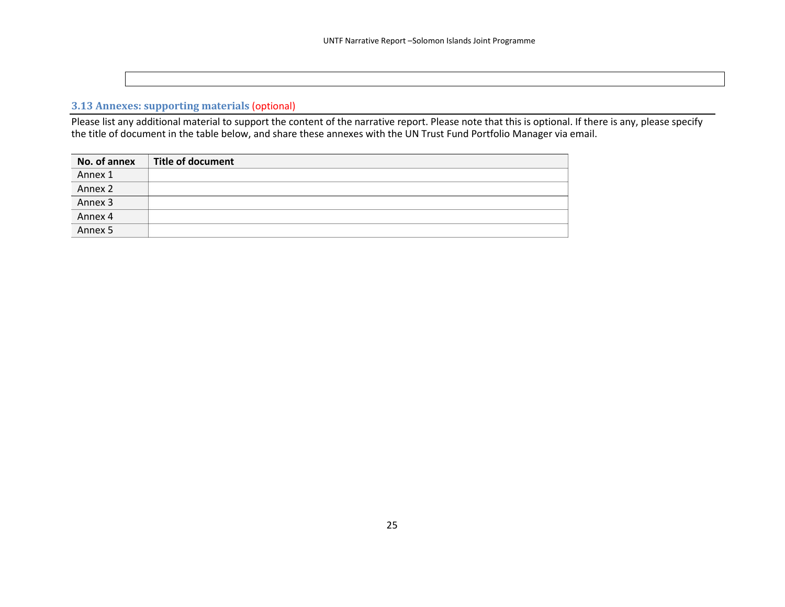# **3.13 Annexes: supporting materials** (optional)

Please list any additional material to support the content of the narrative report. Please note that this is optional. If there is any, please specify the title of document in the table below, and share these annexes with the UN Trust Fund Portfolio Manager via email.

| No. of annex | <b>Title of document</b> |
|--------------|--------------------------|
| Annex 1      |                          |
| Annex 2      |                          |
| Annex 3      |                          |
| Annex 4      |                          |
| Annex 5      |                          |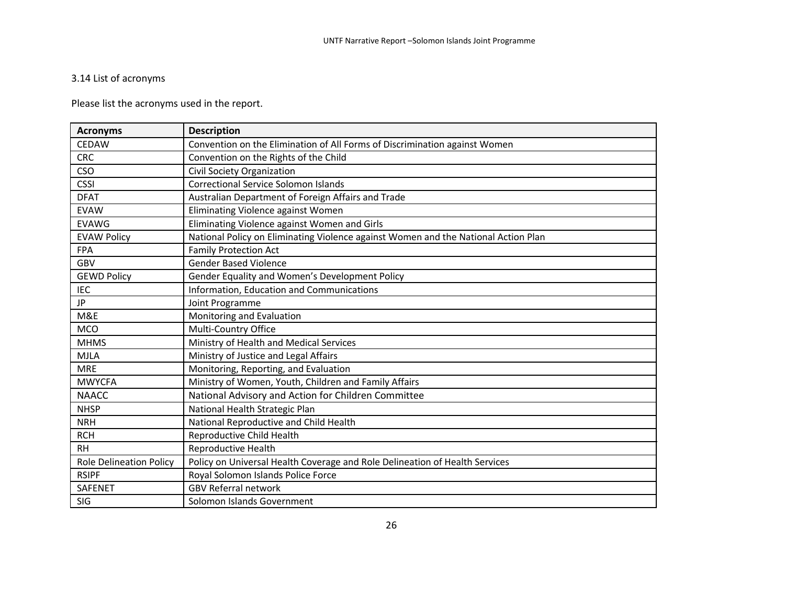# 3.14 List of acronyms

Please list the acronyms used in the report.

| <b>Acronyms</b>                | <b>Description</b>                                                                 |
|--------------------------------|------------------------------------------------------------------------------------|
| <b>CEDAW</b>                   | Convention on the Elimination of All Forms of Discrimination against Women         |
| <b>CRC</b>                     | Convention on the Rights of the Child                                              |
| <b>CSO</b>                     | Civil Society Organization                                                         |
| <b>CSSI</b>                    | <b>Correctional Service Solomon Islands</b>                                        |
| <b>DFAT</b>                    | Australian Department of Foreign Affairs and Trade                                 |
| <b>EVAW</b>                    | Eliminating Violence against Women                                                 |
| <b>EVAWG</b>                   | Eliminating Violence against Women and Girls                                       |
| <b>EVAW Policy</b>             | National Policy on Eliminating Violence against Women and the National Action Plan |
| <b>FPA</b>                     | <b>Family Protection Act</b>                                                       |
| GBV                            | <b>Gender Based Violence</b>                                                       |
| <b>GEWD Policy</b>             | Gender Equality and Women's Development Policy                                     |
| <b>IEC</b>                     | Information, Education and Communications                                          |
| <b>JP</b>                      | Joint Programme                                                                    |
| M&E                            | Monitoring and Evaluation                                                          |
| <b>MCO</b>                     | Multi-Country Office                                                               |
| <b>MHMS</b>                    | Ministry of Health and Medical Services                                            |
| <b>MJLA</b>                    | Ministry of Justice and Legal Affairs                                              |
| <b>MRE</b>                     | Monitoring, Reporting, and Evaluation                                              |
| <b>MWYCFA</b>                  | Ministry of Women, Youth, Children and Family Affairs                              |
| <b>NAACC</b>                   | National Advisory and Action for Children Committee                                |
| <b>NHSP</b>                    | National Health Strategic Plan                                                     |
| <b>NRH</b>                     | National Reproductive and Child Health                                             |
| <b>RCH</b>                     | Reproductive Child Health                                                          |
| <b>RH</b>                      | Reproductive Health                                                                |
| <b>Role Delineation Policy</b> | Policy on Universal Health Coverage and Role Delineation of Health Services        |
| <b>RSIPF</b>                   | Royal Solomon Islands Police Force                                                 |
| <b>SAFENET</b>                 | <b>GBV Referral network</b>                                                        |
| SIG                            | Solomon Islands Government                                                         |